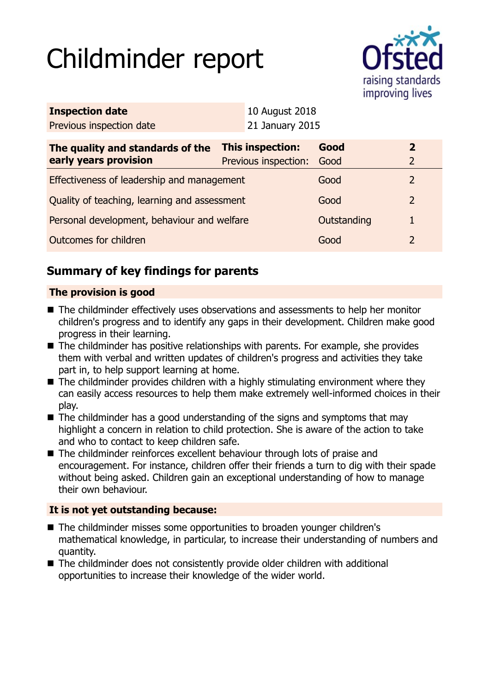# Childminder report



| <b>Inspection date</b>                       |                         | 10 August 2018       |             |                |
|----------------------------------------------|-------------------------|----------------------|-------------|----------------|
| Previous inspection date                     |                         | 21 January 2015      |             |                |
| The quality and standards of the             | <b>This inspection:</b> |                      | Good        | $\overline{2}$ |
| early years provision                        |                         | Previous inspection: | Good        | $\overline{2}$ |
| Effectiveness of leadership and management   |                         |                      | Good        | 2              |
| Quality of teaching, learning and assessment |                         |                      | Good        | $\overline{2}$ |
| Personal development, behaviour and welfare  |                         |                      | Outstanding |                |
| Outcomes for children                        |                         |                      | Good        | $\overline{2}$ |

# **Summary of key findings for parents**

## **The provision is good**

- The childminder effectively uses observations and assessments to help her monitor children's progress and to identify any gaps in their development. Children make good progress in their learning.
- $\blacksquare$  The childminder has positive relationships with parents. For example, she provides them with verbal and written updates of children's progress and activities they take part in, to help support learning at home.
- $\blacksquare$  The childminder provides children with a highly stimulating environment where they can easily access resources to help them make extremely well-informed choices in their play.
- $\blacksquare$  The childminder has a good understanding of the signs and symptoms that may highlight a concern in relation to child protection. She is aware of the action to take and who to contact to keep children safe.
- The childminder reinforces excellent behaviour through lots of praise and encouragement. For instance, children offer their friends a turn to dig with their spade without being asked. Children gain an exceptional understanding of how to manage their own behaviour.

## **It is not yet outstanding because:**

- The childminder misses some opportunities to broaden younger children's mathematical knowledge, in particular, to increase their understanding of numbers and quantity.
- The childminder does not consistently provide older children with additional opportunities to increase their knowledge of the wider world.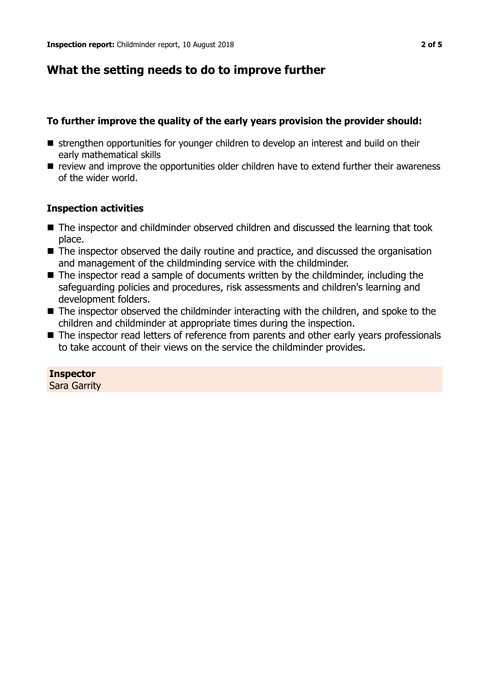# **What the setting needs to do to improve further**

## **To further improve the quality of the early years provision the provider should:**

- strengthen opportunities for younger children to develop an interest and build on their early mathematical skills
- $\blacksquare$  review and improve the opportunities older children have to extend further their awareness of the wider world.

## **Inspection activities**

- The inspector and childminder observed children and discussed the learning that took place.
- The inspector observed the daily routine and practice, and discussed the organisation and management of the childminding service with the childminder.
- $\blacksquare$  The inspector read a sample of documents written by the childminder, including the safeguarding policies and procedures, risk assessments and children's learning and development folders.
- $\blacksquare$  The inspector observed the childminder interacting with the children, and spoke to the children and childminder at appropriate times during the inspection.
- The inspector read letters of reference from parents and other early years professionals to take account of their views on the service the childminder provides.

**Inspector** Sara Garrity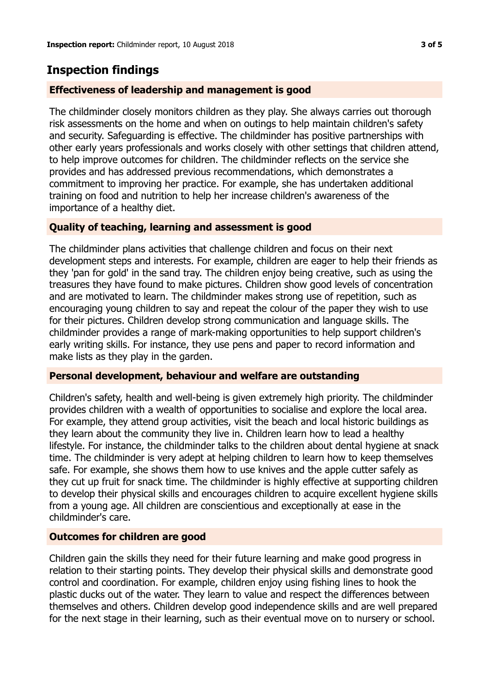## **Inspection findings**

#### **Effectiveness of leadership and management is good**

The childminder closely monitors children as they play. She always carries out thorough risk assessments on the home and when on outings to help maintain children's safety and security. Safeguarding is effective. The childminder has positive partnerships with other early years professionals and works closely with other settings that children attend, to help improve outcomes for children. The childminder reflects on the service she provides and has addressed previous recommendations, which demonstrates a commitment to improving her practice. For example, she has undertaken additional training on food and nutrition to help her increase children's awareness of the importance of a healthy diet.

#### **Quality of teaching, learning and assessment is good**

The childminder plans activities that challenge children and focus on their next development steps and interests. For example, children are eager to help their friends as they 'pan for gold' in the sand tray. The children enjoy being creative, such as using the treasures they have found to make pictures. Children show good levels of concentration and are motivated to learn. The childminder makes strong use of repetition, such as encouraging young children to say and repeat the colour of the paper they wish to use for their pictures. Children develop strong communication and language skills. The childminder provides a range of mark-making opportunities to help support children's early writing skills. For instance, they use pens and paper to record information and make lists as they play in the garden.

#### **Personal development, behaviour and welfare are outstanding**

Children's safety, health and well-being is given extremely high priority. The childminder provides children with a wealth of opportunities to socialise and explore the local area. For example, they attend group activities, visit the beach and local historic buildings as they learn about the community they live in. Children learn how to lead a healthy lifestyle. For instance, the childminder talks to the children about dental hygiene at snack time. The childminder is very adept at helping children to learn how to keep themselves safe. For example, she shows them how to use knives and the apple cutter safely as they cut up fruit for snack time. The childminder is highly effective at supporting children to develop their physical skills and encourages children to acquire excellent hygiene skills from a young age. All children are conscientious and exceptionally at ease in the childminder's care.

## **Outcomes for children are good**

Children gain the skills they need for their future learning and make good progress in relation to their starting points. They develop their physical skills and demonstrate good control and coordination. For example, children enjoy using fishing lines to hook the plastic ducks out of the water. They learn to value and respect the differences between themselves and others. Children develop good independence skills and are well prepared for the next stage in their learning, such as their eventual move on to nursery or school.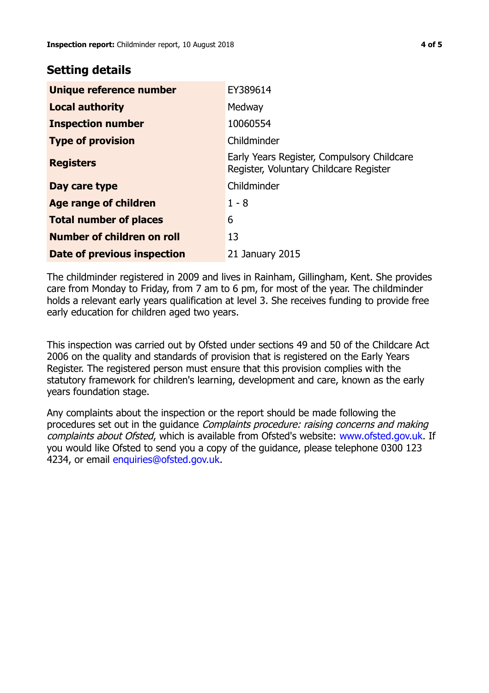## **Setting details**

| Unique reference number       | EY389614                                                                             |
|-------------------------------|--------------------------------------------------------------------------------------|
| <b>Local authority</b>        | Medway                                                                               |
| <b>Inspection number</b>      | 10060554                                                                             |
| <b>Type of provision</b>      | Childminder                                                                          |
| <b>Registers</b>              | Early Years Register, Compulsory Childcare<br>Register, Voluntary Childcare Register |
| Day care type                 | Childminder                                                                          |
| Age range of children         | $1 - 8$                                                                              |
| <b>Total number of places</b> | 6                                                                                    |
| Number of children on roll    | 13                                                                                   |
| Date of previous inspection   | 21 January 2015                                                                      |

The childminder registered in 2009 and lives in Rainham, Gillingham, Kent. She provides care from Monday to Friday, from 7 am to 6 pm, for most of the year. The childminder holds a relevant early years qualification at level 3. She receives funding to provide free early education for children aged two years.

This inspection was carried out by Ofsted under sections 49 and 50 of the Childcare Act 2006 on the quality and standards of provision that is registered on the Early Years Register. The registered person must ensure that this provision complies with the statutory framework for children's learning, development and care, known as the early years foundation stage.

Any complaints about the inspection or the report should be made following the procedures set out in the guidance Complaints procedure: raising concerns and making complaints about Ofsted, which is available from Ofsted's website: www.ofsted.gov.uk. If you would like Ofsted to send you a copy of the guidance, please telephone 0300 123 4234, or email [enquiries@ofsted.gov.uk.](mailto:enquiries@ofsted.gov.uk)